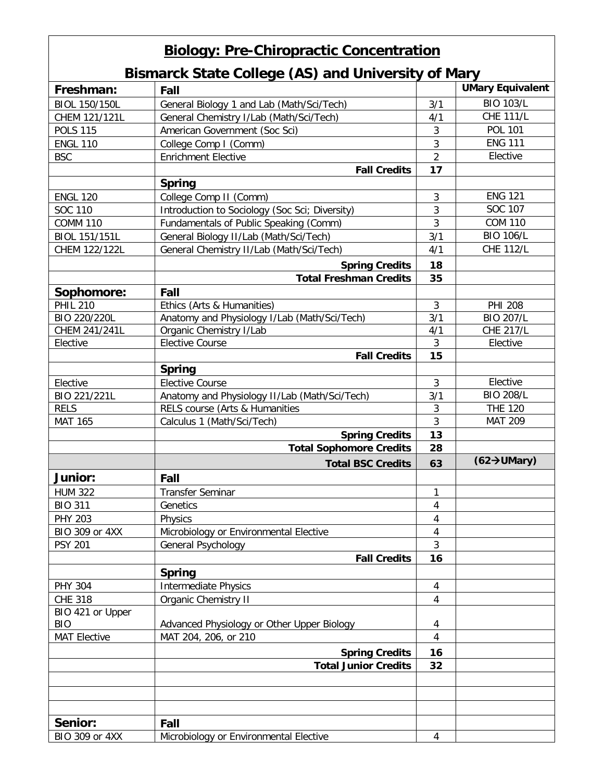## **Biology: Pre-Chiropractic Concentration**

## **Bismarck State College (AS) and University of Mary**

|                             | District Charles Concepc (AU) and University Of Mary                            |                | <b>UMary Equivalent</b>         |
|-----------------------------|---------------------------------------------------------------------------------|----------------|---------------------------------|
| Freshman:                   | Fall                                                                            |                |                                 |
| BIOL 150/150L               | General Biology 1 and Lab (Math/Sci/Tech)                                       | 3/1            | <b>BIO 103/L</b>                |
| CHEM 121/121L               | General Chemistry I/Lab (Math/Sci/Tech)                                         | 4/1            | <b>CHE 111/L</b>                |
| <b>POLS 115</b>             | American Government (Soc Sci)                                                   | $\sqrt{3}$     | <b>POL 101</b>                  |
| <b>ENGL 110</b>             | College Comp I (Comm)                                                           | $\overline{3}$ | <b>ENG 111</b>                  |
| <b>BSC</b>                  | <b>Enrichment Elective</b>                                                      | $\overline{2}$ | Elective                        |
|                             | <b>Fall Credits</b>                                                             | 17             |                                 |
|                             | <b>Spring</b>                                                                   |                |                                 |
| <b>ENGL 120</b>             | College Comp II (Comm)                                                          | $\sqrt{3}$     | <b>ENG 121</b>                  |
| <b>SOC 110</b>              | Introduction to Sociology (Soc Sci; Diversity)                                  | 3              | SOC 107                         |
| <b>COMM 110</b>             | Fundamentals of Public Speaking (Comm)                                          | $\overline{3}$ | <b>COM 110</b>                  |
| BIOL 151/151L               | General Biology II/Lab (Math/Sci/Tech)                                          | 3/1            | <b>BIO 106/L</b>                |
| CHEM 122/122L               | General Chemistry II/Lab (Math/Sci/Tech)                                        | 4/1            | <b>CHE 112/L</b>                |
|                             | <b>Spring Credits</b>                                                           | 18             |                                 |
|                             | <b>Total Freshman Credits</b>                                                   | 35             |                                 |
| Sophomore:                  | Fall                                                                            |                |                                 |
| <b>PHIL 210</b>             | Ethics (Arts & Humanities)                                                      | $\overline{3}$ | <b>PHI 208</b>                  |
| BIO 220/220L                | Anatomy and Physiology I/Lab (Math/Sci/Tech)                                    | 3/1            | <b>BIO 207/L</b>                |
| CHEM 241/241L               | Organic Chemistry I/Lab                                                         | 4/1            | <b>CHE 217/L</b>                |
| Elective                    | <b>Elective Course</b>                                                          | $\mathfrak{Z}$ | Elective                        |
|                             | <b>Fall Credits</b>                                                             | 15             |                                 |
|                             | <b>Spring</b>                                                                   |                |                                 |
| Elective                    | <b>Elective Course</b>                                                          | 3              | Elective                        |
|                             |                                                                                 | 3/1            | <b>BIO 208/L</b>                |
| BIO 221/221L<br><b>RELS</b> | Anatomy and Physiology II/Lab (Math/Sci/Tech)<br>RELS course (Arts & Humanities | 3              | <b>THE 120</b>                  |
| <b>MAT 165</b>              | Calculus 1 (Math/Sci/Tech)                                                      | $\overline{3}$ | <b>MAT 209</b>                  |
|                             | <b>Spring Credits</b>                                                           | 13             |                                 |
|                             | <b>Total Sophomore Credits</b>                                                  | 28             |                                 |
|                             |                                                                                 |                | $(62 \rightarrow \text{UMary})$ |
|                             | <b>Total BSC Credits</b>                                                        | 63             |                                 |
| Junior:                     | Fall                                                                            |                |                                 |
| <b>HUM 322</b>              | <b>Transfer Seminar</b>                                                         | 1              |                                 |
| <b>BIO 311</b>              | Genetics                                                                        | $\overline{4}$ |                                 |
| PHY 203                     | Physics                                                                         | 4              |                                 |
| BIO 309 or 4XX              | Microbiology or Environmental Elective                                          | 4              |                                 |
| <b>PSY 201</b>              | General Psychology                                                              | $\mathbf{3}$   |                                 |
|                             | <b>Fall Credits</b>                                                             | 16             |                                 |
|                             | <b>Spring</b>                                                                   |                |                                 |
| <b>PHY 304</b>              | <b>Intermediate Physics</b>                                                     | 4              |                                 |
| <b>CHE 318</b>              | <b>Organic Chemistry II</b>                                                     | $\overline{4}$ |                                 |
| BIO 421 or Upper            |                                                                                 |                |                                 |
| <b>BIO</b>                  | Advanced Physiology or Other Upper Biology                                      | 4              |                                 |
| <b>MAT Elective</b>         | MAT 204, 206, or 210                                                            | $\overline{4}$ |                                 |
|                             | <b>Spring Credits</b>                                                           | 16             |                                 |
|                             | <b>Total Junior Credits</b>                                                     | 32             |                                 |
|                             |                                                                                 |                |                                 |
|                             |                                                                                 |                |                                 |
|                             |                                                                                 |                |                                 |
|                             |                                                                                 |                |                                 |
| Senior:                     | Fall                                                                            |                |                                 |
| BIO 309 or 4XX              | Microbiology or Environmental Elective                                          | $\overline{4}$ |                                 |